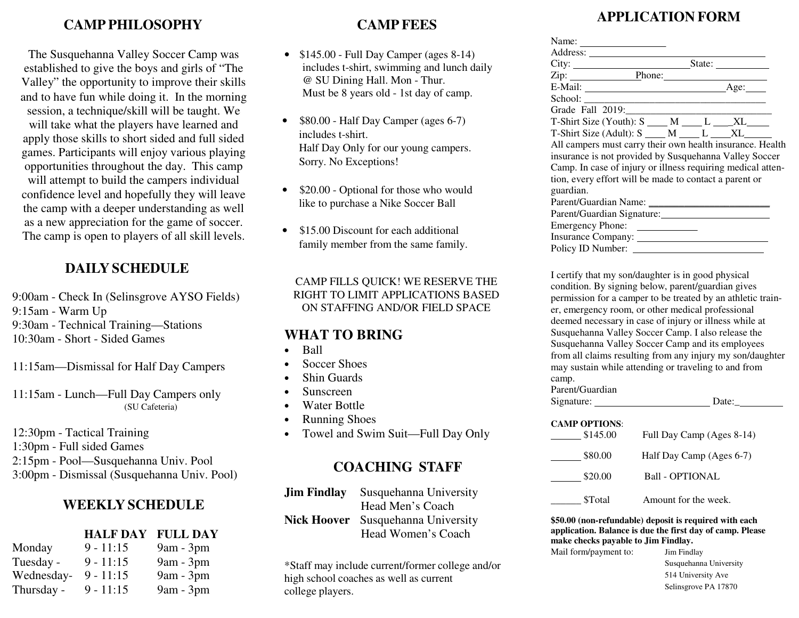## **CAMP PHILOSOPHY**

The Susquehanna Valley Soccer Camp was established to give the boys and girls of "The Valley" the opportunity to improve their skills and to have fun while doing it. In the morning session, a technique/skill will be taught. We will take what the players have learned and apply those skills to short sided and full sided games. Participants will enjoy various playing opportunities throughout the day. This camp will attempt to build the campers individual confidence level and hopefully they will leave the camp with a deeper understanding as well as a new appreciation for the game of soccer. The camp is open to players of all skill levels.

## **DAILY SCHEDULE**

9:00am - Check In (Selinsgrove AYSO Fields) 9:15am - Warm Up 9:30am - Technical Training—Stations 10:30am - Short - Sided Games

11:15am—Dismissal for Half Day Campers

11:15am - Lunch—Full Day Campers only (SU Cafeteria)

12:30pm - Tactical Training

1:30pm - Full sided Games

2:15pm - Pool—Susquehanna Univ. Pool

3:00pm - Dismissal (Susquehanna Univ. Pool)

#### **WEEKLY SCHEDULE**

#### **HALF DAY FULL DAY**

| Monday     | $9 - 11:15$ | $9am - 3pm$ |
|------------|-------------|-------------|
| Tuesday -  | $9 - 11:15$ | $9am - 3pm$ |
| Wednesday- | $9 - 11:15$ | $9am - 3pm$ |
| Thursday - | $9 - 11:15$ | $9am - 3pm$ |

### **CAMP FEES**

- $$145.00$  Full Day Camper (ages 8-14) includes t-shirt, swimming and lunch daily @ SU Dining Hall. Mon - Thur. Must be 8 years old - 1st day of camp.
- \$80.00 Half Day Camper (ages 6-7) includes t-shirt. Half Day Only for our young campers. Sorry. No Exceptions!
- \$20.00 Optional for those who would like to purchase a Nike Soccer Ball
- \$15.00 Discount for each additional family member from the same family.

CAMP FILLS QUICK! WE RESERVE THE RIGHT TO LIMIT APPLICATIONS BASED ON STAFFING AND/OR FIELD SPACE

### **WHAT TO BRING**

- Ball
- Soccer Shoes
- Shin Guards
- Sunscreen
- Water Bottle
- Running Shoes
- Towel and Swim Suit—Full Day Only

# **COACHING STAFF**

| <b>Jim Findlay</b> | Susquehanna University                    |
|--------------------|-------------------------------------------|
|                    | Head Men's Coach                          |
|                    | <b>Nick Hoover</b> Susquehanna University |
|                    | Head Women's Coach                        |

\*Staff may include current/former college and/or high school coaches as well as current college players.

# **APPLICATION FORM**

| Zip: Phone: Phone: Age: Phone: Age:                                     |  |  |
|-------------------------------------------------------------------------|--|--|
|                                                                         |  |  |
|                                                                         |  |  |
|                                                                         |  |  |
| T-Shirt Size (Youth): $S$ M ______ L _____ XL______                     |  |  |
| $T\text{-Shift Size (Adult): } S \_\_\_\_M \_\_\_L \_\_XL \_\_XL \_\_x$ |  |  |
| All campers must carry their own health insurance. Health               |  |  |
| insurance is not provided by Susquehanna Valley Soccer                  |  |  |
| Camp. In case of injury or illness requiring medical atten-             |  |  |
| tion, every effort will be made to contact a parent or                  |  |  |
| guardian.                                                               |  |  |
|                                                                         |  |  |
|                                                                         |  |  |
| Emergency Phone:                                                        |  |  |
|                                                                         |  |  |
|                                                                         |  |  |

I certify that my son/daughter is in good physical condition. By signing below, parent/guardian gives permission for a camper to be treated by an athletic trainer, emergency room, or other medical professional deemed necessary in case of injury or illness while at Susquehanna Valley Soccer Camp. I also release the Susquehanna Valley Soccer Camp and its employees from all claims resulting from any injury my son/daughter may sustain while attending or traveling to and from camp.

| Parent/Guardian |       |
|-----------------|-------|
| Signature:      | Date: |

| <b>CAMP OPTIONS:</b> |                           |
|----------------------|---------------------------|
| \$145.00             | Full Day Camp (Ages 8-14) |
| \$80.00              | Half Day Camp (Ages 6-7)  |
| \$20.00              | <b>Ball - OPTIONAL</b>    |
| <b>STotal</b>        | Amount for the week.      |

**\$50.00 (non-refundable) deposit is required with each application. Balance is due the first day of camp. Please make checks payable to Jim Findlay.**

Mail form/payment to:

 Jim Findlay Susquehanna University 514 University Ave Selinsgrove PA 17870